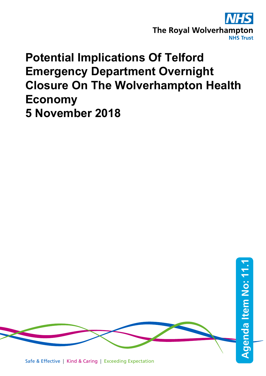

# **Potential Implications Of Telford Emergency Department Overnight Closure On The Wolverhampton Health Economy 5 November 2018**

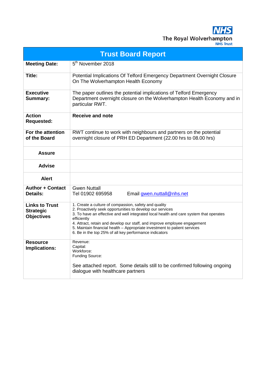The Royal Wolverhampton **NHS Trust** 

**Trust Board Report Meeting Date:** 5<sup>th</sup> November 2018 **Title:** Potential Implications Of Telford Emergency Department Overnight Closure On The Wolverhampton Health Economy **Executive Summary:**  The paper outlines the potential implications of Telford Emergency Department overnight closure on the Wolverhampton Health Economy and in particular RWT. **Action Requested: Receive and note For the attention of the Board** RWT continue to work with neighbours and partners on the potential overnight closure of PRH ED Department (22.00 hrs to 08.00 hrs) **Assure Advise Alert Author + Contact Details:** Gwen Nuttall<br>Tel 01902 695958 Email [gwen.nuttall@nhs.net](mailto:gwen.nuttall@nhs.net) **Links to Trust Strategic Objectives** 1. Create a culture of compassion, safety and quality 2. Proactively seek opportunities to develop our services 3. To have an effective and well integrated local health and care system that operates efficiently 4. Attract, retain and develop our staff, and improve employee engagement 5. Maintain financial health – Appropriate investment to patient services 6. Be in the top 25% of all key performance indicators **Resource Implications:** Revenue: Capital: Workforce: Funding Source: See attached report. Some details still to be confirmed following ongoing dialogue with healthcare partners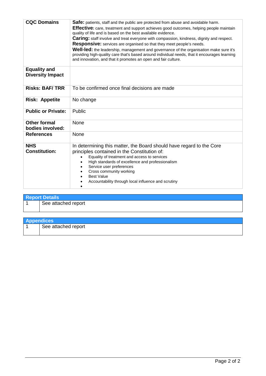| <b>CQC Domains</b>                             | Safe: patients, staff and the public are protected from abuse and avoidable harm.<br><b>Effective:</b> care, treatment and support achieves good outcomes, helping people maintain<br>quality of life and is based on the best available evidence.<br><b>Caring:</b> staff involve and treat everyone with compassion, kindness, dignity and respect.<br><b>Responsive:</b> services are organised so that they meet people's needs.<br><b>Well-led:</b> the leadership, management and governance of the organisation make sure it's<br>providing high-quality care that's based around individual needs, that it encourages learning<br>and innovation, and that it promotes an open and fair culture. |  |  |
|------------------------------------------------|----------------------------------------------------------------------------------------------------------------------------------------------------------------------------------------------------------------------------------------------------------------------------------------------------------------------------------------------------------------------------------------------------------------------------------------------------------------------------------------------------------------------------------------------------------------------------------------------------------------------------------------------------------------------------------------------------------|--|--|
| <b>Equality and</b><br><b>Diversity Impact</b> |                                                                                                                                                                                                                                                                                                                                                                                                                                                                                                                                                                                                                                                                                                          |  |  |
| <b>Risks: BAF/TRR</b>                          | To be confirmed once final decisions are made                                                                                                                                                                                                                                                                                                                                                                                                                                                                                                                                                                                                                                                            |  |  |
| <b>Risk: Appetite</b>                          | No change                                                                                                                                                                                                                                                                                                                                                                                                                                                                                                                                                                                                                                                                                                |  |  |
| <b>Public or Private:</b>                      | Public                                                                                                                                                                                                                                                                                                                                                                                                                                                                                                                                                                                                                                                                                                   |  |  |
| <b>Other formal</b><br>bodies involved:        | None                                                                                                                                                                                                                                                                                                                                                                                                                                                                                                                                                                                                                                                                                                     |  |  |
| <b>References</b>                              | None                                                                                                                                                                                                                                                                                                                                                                                                                                                                                                                                                                                                                                                                                                     |  |  |
| <b>NHS</b><br><b>Constitution:</b>             | In determining this matter, the Board should have regard to the Core<br>principles contained in the Constitution of:<br>Equality of treatment and access to services<br>High standards of excellence and professionalism<br>Service user preferences<br>Cross community working<br><b>Best Value</b><br>Accountability through local influence and scrutiny                                                                                                                                                                                                                                                                                                                                              |  |  |

| <b>Report Details</b> |                     |  |
|-----------------------|---------------------|--|
|                       | See attached report |  |
|                       |                     |  |

| <b>Appendices</b>   |
|---------------------|
| See attached report |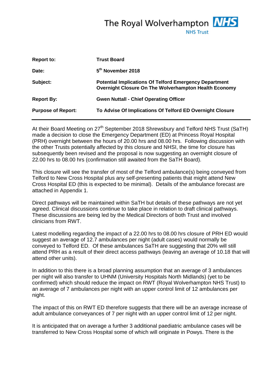The Royal Wolverhampton **NHS** 

**NHS Trust** 

| <b>Report to:</b>         | <b>Trust Board</b>                                                                                                     |
|---------------------------|------------------------------------------------------------------------------------------------------------------------|
| Date:                     | 5 <sup>th</sup> November 2018                                                                                          |
| Subject:                  | <b>Potential Implications Of Telford Emergency Department</b><br>Overnight Closure On The Wolverhampton Health Economy |
| <b>Report By:</b>         | <b>Gwen Nuttall - Chief Operating Officer</b>                                                                          |
| <b>Purpose of Report:</b> | To Advise Of Implications Of Telford ED Overnight Closure                                                              |

At their Board Meeting on 27<sup>th</sup> September 2018 Shrewsbury and Telford NHS Trust (SaTH) made a decision to close the Emergency Department (ED) at Princess Royal Hospital (PRH) overnight between the hours of 20.00 hrs and 08.00 hrs. Following discussion with the other Trusts potentially affected by this closure and NHSI, the time for closure has subsequently been revised and the proposal is now suggesting an overnight closure of 22.00 hrs to 08.00 hrs (confirmation still awaited from the SaTH Board).

This closure will see the transfer of most of the Telford ambulance(s) being conveyed from Telford to New Cross Hospital plus any self-presenting patients that might attend New Cross Hospital ED (this is expected to be minimal). Details of the ambulance forecast are attached in Appendix 1.

Direct pathways will be maintained within SaTH but details of these pathways are not yet agreed. Clinical discussions continue to take place in relation to draft clinical pathways. These discussions are being led by the Medical Directors of both Trust and involved clinicians from RWT.

Latest modelling regarding the impact of a 22.00 hrs to 08.00 hrs closure of PRH ED would suggest an average of 12.7 ambulances per night (adult cases) would normally be conveyed to Telford ED. Of these ambulances SaTH are suggesting that 20% will still attend PRH as a result of their direct access pathways (leaving an average of 10.18 that will attend other units).

In addition to this there is a broad planning assumption that an average of 3 ambulances per night will also transfer to UHNM (University Hospitals North Midlands) (yet to be confirmed) which should reduce the impact on RWT (Royal Wolverhampton NHS Trust) to an average of 7 ambulances per night with an upper control limit of 12 ambulances per night.

The impact of this on RWT ED therefore suggests that there will be an average increase of adult ambulance conveyances of 7 per night with an upper control limit of 12 per night.

It is anticipated that on average a further 3 additional paediatric ambulance cases will be transferred to New Cross Hospital some of which will originate in Powys. There is the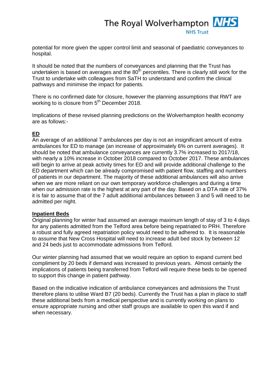## The Royal Wolverhampton **NHS NHS Trust**

potential for more given the upper control limit and seasonal of paediatric conveyances to hospital.

It should be noted that the numbers of conveyances and planning that the Trust has undertaken is based on averages and the  $80<sup>th</sup>$  percentiles. There is clearly still work for the Trust to undertake with colleagues from SaTH to understand and confirm the clinical pathways and minimise the impact for patients.

There is no confirmed date for closure, however the planning assumptions that RWT are working to is closure from 5<sup>th</sup> December 2018.

Implications of these revised planning predictions on the Wolverhampton health economy are as follows:-

## **ED**

An average of an additional 7 ambulances per day is not an insignificant amount of extra ambulances for ED to manage (an increase of approximately 6% on current averages). It should be noted that ambulance conveyances are currently 3.7% increased to 2017/18, with nearly a 10% increase in October 2018 compared to October 2017. These ambulances will begin to arrive at peak activity times for ED and will provide additional challenge to the ED department which can be already compromised with patient flow, staffing and numbers of patients in our department. The majority of these additional ambulances will also arrive when we are more reliant on our own temporary workforce challenges and during a time when our admission rate is the highest at any part of the day. Based on a DTA rate of 37% it is fair to assume that of the 7 adult additional ambulances between 3 and 5 will need to be admitted per night.

## **Inpatient Beds**

Original planning for winter had assumed an average maximum length of stay of 3 to 4 days for any patients admitted from the Telford area before being repatriated to PRH. Therefore a robust and fully agreed repatriation policy would need to be adhered to. It is reasonable to assume that New Cross Hospital will need to increase adult bed stock by between 12 and 24 beds just to accommodate admissions from Telford.

Our winter planning had assumed that we would require an option to expand current bed compliment by 20 beds if demand was increased to previous years. Almost certainly the implications of patients being transferred from Telford will require these beds to be opened to support this change in patient pathway.

Based on the indicative indication of ambulance conveyances and admissions the Trust therefore plans to utilise Ward B7 (20 beds). Currently the Trust has a plan in place to staff these additional beds from a medical perspective and is currently working on plans to ensure appropriate nursing and other staff groups are available to open this ward if and when necessary.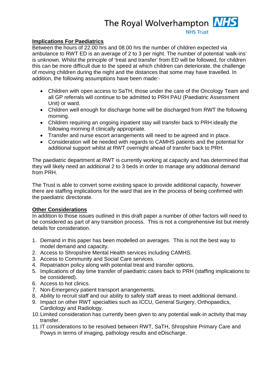## The Royal Wolverhampton **NHS**

**NHS Trust** 

**Implications For Paediatrics** Between the hours of 22.00 hrs and 08.00 hrs the number of children expected via ambulance to RWT ED is an average of 2 to 3 per night. The number of potential 'walk-ins' is unknown. Whilst the principle of 'treat and transfer' from ED will be followed, for children this can be more difficult due to the speed at which children can deteriorate, the challenge of moving children during the night and the distances that some may have travelled. In addition, the following assumptions have been made:-

- Children with open access to SaTH, those under the care of the Oncology Team and all GP referrals will continue to be admitted to PRH PAU (Paediatric Assessment Unit) or ward.
- Children well enough for discharge home will be discharged from RWT the following morning.
- Children requiring an ongoing inpatient stay will transfer back to PRH ideally the following morning if clinically appropriate.
- Transfer and nurse escort arrangements will need to be agreed and in place.
- Consideration will be needed with regards to CAMHS patients and the potential for additional support whilst at RWT overnight ahead of transfer back to PRH.

The paediatric department at RWT is currently working at capacity and has determined that they will likely need an additional 2 to 3 beds in order to manage any additional demand from PRH.

The Trust is able to convert some existing space to provide additional capacity, however there are staffing implications for the ward that are in the process of being confirmed with the paediatric directorate.

## **Other Considerations**

In addition to those issues outlined in this draft paper a number of other factors will need to be considered as part of any transition process. This is not a comprehensive list but merely details for consideration.

- 1. Demand in this paper has been modelled on averages. This is not the best way to model demand and capacity.
- 2. Access to Shropshire Mental Health services including CAMHS.
- 3. Access to Community and Social Care services.
- 4. Repatriation policy along with potential treat and transfer options.
- 5. Implications of day time transfer of paediatric cases back to PRH (staffing implications to be considered).
- 6. Access to hot clinics.
- 7. Non-Emergency patient transport arrangements.
- 8. Ability to recruit staff and our ability to safely staff areas to meet additional demand.
- 9. Impact on other RWT specialties such as ICCU, General Surgery, Orthopaedics, Cardiology and Radiology.
- 10.Limited consideration has currently been given to any potential walk-in activity that may transfer.
- 11.IT considerations to be resolved between RWT, SaTH, Shropshire Primary Care and Powys in terms of imaging, pathology results and eDischarge.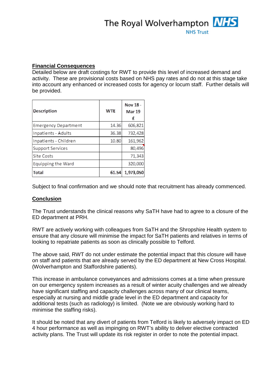

## **Financial Consequences**

Detailed below are draft costings for RWT to provide this level of increased demand and activity. These are provisional costs based on NHS pay rates and do not at this stage take into account any enhanced or increased costs for agency or locum staff. Further details will be provided.

| Description                 | <b>WTE</b> | Nov 18 -<br><b>Mar 19</b><br>f |
|-----------------------------|------------|--------------------------------|
| <b>Emergency Department</b> | 14.36      | 606,821                        |
| Inpatients - Adults         | 36.38      | 732,428                        |
| Inpatients - Children       | 10.80      | 161,962                        |
| Support Services            |            | 80,496                         |
| Site Costs                  |            | 71,343                         |
| Equipping the Ward          |            | 320,000                        |
| <b>Total</b>                | 61.54      | 1,973,050                      |

Subject to final confirmation and we should note that recruitment has already commenced.

## **Conclusion**

The Trust understands the clinical reasons why SaTH have had to agree to a closure of the ED department at PRH.

RWT are actively working with colleagues from SaTH and the Shropshire Health system to ensure that any closure will minimise the impact for SaTH patients and relatives in terms of looking to repatriate patients as soon as clinically possible to Telford.

The above said, RWT do not under estimate the potential impact that this closure will have on staff and patients that are already served by the ED department at New Cross Hospital. (Wolverhampton and Staffordshire patients).

This increase in ambulance conveyances and admissions comes at a time when pressure on our emergency system increases as a result of winter acuity challenges and we already have significant staffing and capacity challenges across many of our clinical teams, especially at nursing and middle grade level in the ED department and capacity for additional tests (such as radiology) is limited. (Note we are obviously working hard to minimise the staffing risks).

It should be noted that any divert of patients from Telford is likely to adversely impact on ED 4 hour performance as well as impinging on RWT's ability to deliver elective contracted activity plans. The Trust will update its risk register in order to note the potential impact.